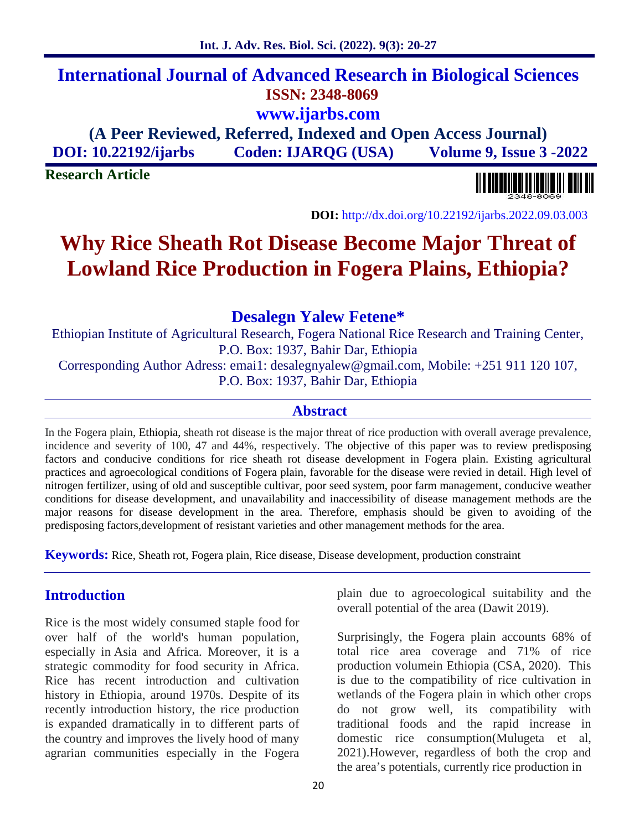## **International Journal of Advanced Research in Biological Sciences ISSN: 2348-8069 www.ijarbs.com**

**(A Peer Reviewed, Referred, Indexed and Open Access Journal) DOI: 10.22192/ijarbs Coden: IJARQG (USA) Volume 9, Issue 3 -2022**

**Research Article**

**DOI:** http://dx.doi.org/10.22192/ijarbs.2022.09.03.003

# **Why Rice Sheath Rot Disease Become Major Threat of Lowland Rice Production in Fogera Plains, Ethiopia?**

## **Desalegn Yalew Fetene\***

Ethiopian Institute of Agricultural Research, Fogera National Rice Research and Training Center, P.O. Box: 1937, Bahir Dar, Ethiopia Corresponding Author Adress: emai1: desalegnyalew@gmail.com, Mobile: +251 911 120 107,

P.O. Box: 1937, Bahir Dar, Ethiopia

#### **Abstract**

In the Fogera plain, Ethiopia, sheath rot disease is the major threat of rice production with overall average prevalence, incidence and severity of 100, 47 and 44%, respectively. The objective of this paper was to review predisposing factors and conducive conditions for rice sheath rot disease development in Fogera plain. Existing agricultural practices and agroecological conditions of Fogera plain, favorable for the disease were revied in detail. High level of nitrogen fertilizer, using of old and susceptible cultivar, poor seed system, poor farm management, conducive weather conditions for disease development, and unavailability and inaccessibility of disease management methods are the major reasons for disease development in the area. Therefore, emphasis should be given to avoiding of the predisposing factors,development of resistant varieties and other management methods for the area.

**Keywords:** Rice, Sheath rot, Fogera plain, Rice disease, Disease development, production constraint

## **Introduction**

Rice is the most widely consumed staple food for over half of the world's human population, especially in Asia and Africa. Moreover, it is a strategic commodity for food security in Africa. Rice has recent introduction and cultivation history in Ethiopia, around 1970s. Despite of its recently introduction history, the rice production is expanded dramatically in to different parts of the country and improves the lively hood of many agrarian communities especially in the Fogera plain due to agroecological suitability and the overall potential of the area (Dawit 2019).

Surprisingly, the Fogera plain accounts 68% of total rice area coverage and 71% of rice production volumein Ethiopia (CSA, 2020). This is due to the compatibility of rice cultivation in wetlands of the Fogera plain in which other crops do not grow well, its compatibility with traditional foods and the rapid increase in domestic rice consumption(Mulugeta et al, 2021).However, regardless of both the crop and the area's potentials, currently rice production in

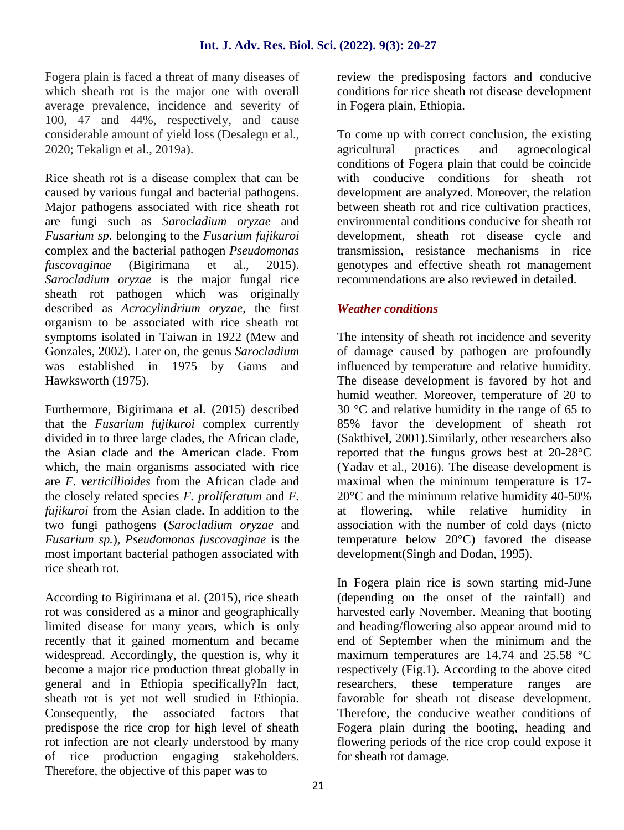Fogera plain is faced a threat of many diseases of which sheath rot is the major one with overall average prevalence, incidence and severity of 100, 47 and 44%, respectively, and cause considerable amount of yield loss (Desalegn et al., 2020; Tekalign et al., 2019a).

Rice sheath rot is a disease complex that can be caused by various fungal and bacterial pathogens. Major pathogens associated with rice sheath rot are fungi such as *Sarocladium oryzae* and *Fusarium sp.* belonging to the *Fusarium fujikuroi* complex and the bacterial pathogen *Pseudomonas fuscovaginae* (Bigirimana et al., 2015). *Sarocladium oryzae* is the major fungal rice sheath rot pathogen which was originally described as *Acrocylindrium oryzae*, the first organism to be associated with rice sheath rot symptoms isolated in Taiwan in 1922 (Mew and Gonzales, 2002). Later on, the genus *Sarocladium* was established in 1975 by Gams and Hawksworth (1975).

Furthermore, Bigirimana et al. (2015) described that the *Fusarium fujikuroi* complex currently divided in to three large clades, the African clade, the Asian clade and the American clade. From which, the main organisms associated with rice are *F. verticillioides* from the African clade and the closely related species *F. proliferatum* and *F. fujikuroi* from the Asian clade. In addition to the two fungi pathogens (*Sarocladium oryzae* and *Fusarium sp.*), *Pseudomonas fuscovaginae* is the most important bacterial pathogen associated with rice sheath rot.

According to Bigirimana et al. (2015), rice sheath rot was considered as a minor and geographically limited disease for many years, which is only recently that it gained momentum and became widespread. Accordingly, the question is, why it become a major rice production threat globally in general and in Ethiopia specifically?In fact, sheath rot is yet not well studied in Ethiopia. Consequently, the associated factors that predispose the rice crop for high level of sheath rot infection are not clearly understood by many of rice production engaging stakeholders. Therefore, the objective of this paper was to

review the predisposing factors and conducive conditions for rice sheath rot disease development in Fogera plain, Ethiopia.

To come up with correct conclusion, the existing<br>agricultural practices and agroecological agricultural practices and agroecological conditions of Fogera plain that could be coincide with conducive conditions for sheath rot development are analyzed. Moreover, the relation between sheath rot and rice cultivation practices, environmental conditions conducive for sheath rot development, sheath rot disease cycle and transmission, resistance mechanisms in rice genotypes and effective sheath rot management recommendations are also reviewed in detailed.

#### *Weather conditions*

The intensity of sheath rot incidence and severity of damage caused by pathogen are profoundly influenced by temperature and relative humidity. The disease development is favored by hot and humid weather. Moreover, temperature of 20 to 30 °C and relative humidity in the range of 65 to 85% favor the development of sheath rot (Sakthivel, 2001).Similarly, other researchers also reported that the fungus grows best at 20-28°C (Yadav et al., 2016). The disease development is maximal when the minimum temperature is 17-  $20^{\circ}$ C and the minimum relative humidity 40-50% at flowering, while relative humidity in while relative humidity in association with the number of cold days (nicto temperature below 20°C) favored the disease development(Singh and Dodan, 1995).

In Fogera plain rice is sown starting mid-June (depending on the onset of the rainfall) and harvested early November. Meaning that booting and heading/flowering also appear around mid to end of September when the minimum and the maximum temperatures are 14.74 and 25.58 °C respectively (Fig.1). According to the above cited researchers, these temperature ranges are favorable for sheath rot disease development. Therefore, the conducive weather conditions of Fogera plain during the booting, heading and flowering periods of the rice crop could expose it for sheath rot damage.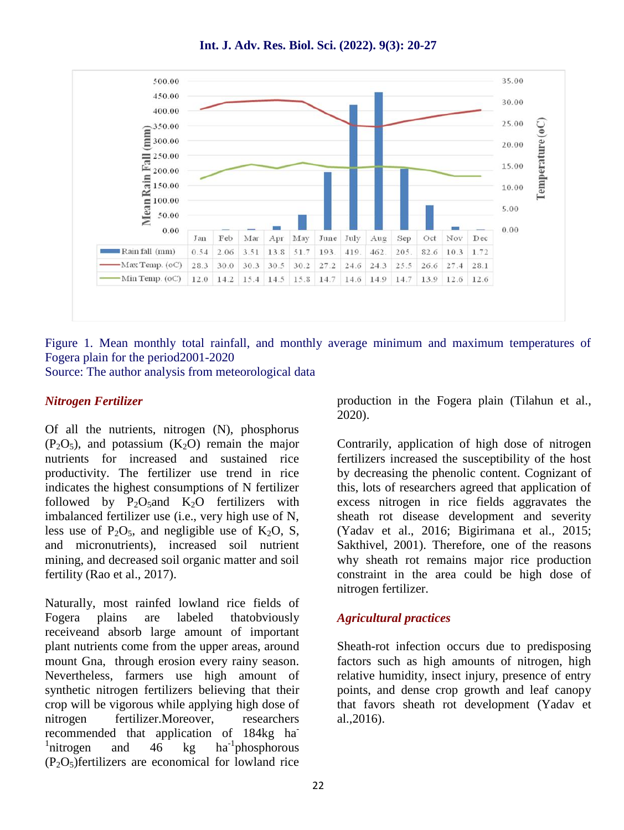

**Int. J. Adv. Res. Biol. Sci. (2022). 9(3): 20-27**

Figure 1. Mean monthly total rainfall, and monthly average minimum and maximum temperatures of Fogera plain for the period2001-2020

Source: The author analysis from meteorological data

#### *Nitrogen Fertilizer*

Of all the nutrients, nitrogen (N), phosphorus  $(P_2O_5)$ , and potassium  $(K_2O)$  remain the major nutrients for increased and sustained rice productivity. The fertilizer use trend in rice indicates the highest consumptions of N fertilizer followed by  $P_2O_5$  and  $K_2O$  fertilizers with imbalanced fertilizer use (i.e., very high use of N, less use of  $P_2O_5$ , and negligible use of  $K_2O$ , S, and micronutrients), increased soil nutrient mining, and decreased soil organic matter and soil fertility (Rao et al., 2017).

Naturally, most rainfed lowland rice fields of Fogera plains are labeled thatobviously receiveand absorb large amount of important plant nutrients come from the upper areas, around mount Gna, through erosion every rainy season. Nevertheless, farmers use high amount of synthetic nitrogen fertilizers believing that their crop will be vigorous while applying high dose of nitrogen fertilizer.Moreover, researchers recommended that application of  $184\text{kg}$  ha<sup>-1</sup> 1nitrogen and  $46 \text{kg}$  ha<sup>-1</sup> phosphorous  $(P_2O_5)$ fertilizers are economical for lowland rice

production in the Fogera plain (Tilahun et al., 2020).

Contrarily, application of high dose of nitrogen fertilizers increased the susceptibility of the host by decreasing the phenolic content. Cognizant of this, lots of researchers agreed that application of excess nitrogen in rice fields aggravates the sheath rot disease development and severity (Yadav et al., 2016; Bigirimana et al., 2015; Sakthivel, 2001). Therefore, one of the reasons why sheath rot remains major rice production constraint in the area could be high dose of nitrogen fertilizer.

#### *Agricultural practices*

Sheath-rot infection occurs due to predisposing factors such as high amounts of nitrogen, high relative humidity, insect injury, presence of entry points, and dense crop growth and leaf canopy that favors sheath rot development (Yadav et al.,2016).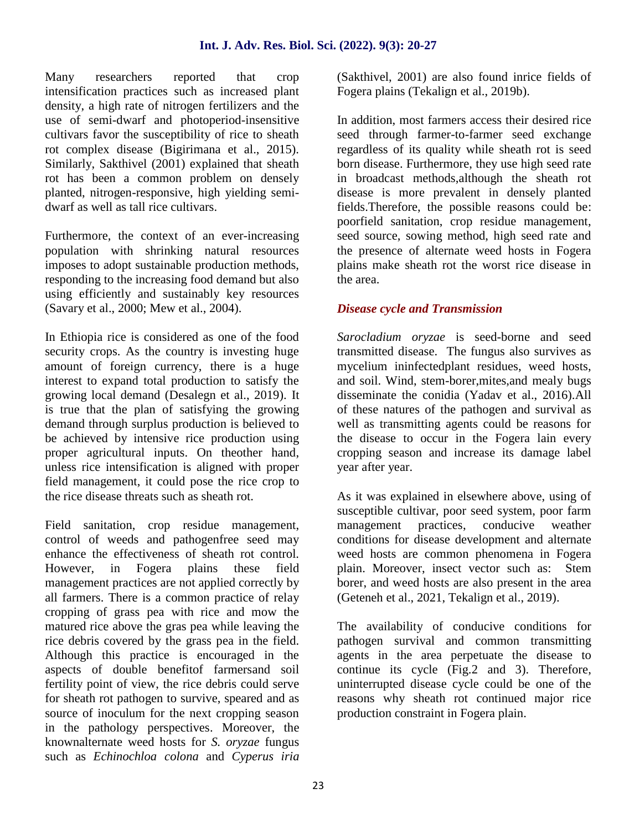Many researchers reported that crop intensification practices such as increased plant density, a high rate of nitrogen fertilizers and the use of semi-dwarf and photoperiod-insensitive cultivars favor the susceptibility of rice to sheath rot complex disease (Bigirimana et al., 2015). Similarly, Sakthivel (2001) explained that sheath rot has been a common problem on densely planted, nitrogen-responsive, high yielding semi dwarf as well as tall rice cultivars.

Furthermore, the context of an ever-increasing population with shrinking natural resources imposes to adopt sustainable production methods, responding to the increasing food demand but also using efficiently and sustainably key resources (Savary et al., 2000; Mew et al., 2004).

In Ethiopia rice is considered as one of the food security crops. As the country is investing huge amount of foreign currency, there is a huge interest to expand total production to satisfy the growing local demand (Desalegn et al., 2019). It is true that the plan of satisfying the growing demand through surplus production is believed to be achieved by intensive rice production using proper agricultural inputs. On theother hand, unless rice intensification is aligned with proper field management, it could pose the rice crop to the rice disease threats such as sheath rot.

Field sanitation, crop residue management, control of weeds and pathogenfree seed may enhance the effectiveness of sheath rot control. However, in Fogera plains these field management practices are not applied correctly by all farmers. There is a common practice of relay cropping of grass pea with rice and mow the matured rice above the gras pea while leaving the rice debris covered by the grass pea in the field. Although this practice is encouraged in the aspects of double benefitof farmersand soil fertility point of view, the rice debris could serve for sheath rot pathogen to survive, speared and as source of inoculum for the next cropping season in the pathology perspectives. Moreover, the knownalternate weed hosts for *S. oryzae* fungus such as *Echinochloa colona* and *Cyperus iria* (Sakthivel, 2001) are also found inrice fields of Fogera plains (Tekalign et al., 2019b).

In addition, most farmers access their desired rice seed through farmer-to-farmer seed exchange regardless of its quality while sheath rot is seed born disease. Furthermore, they use high seed rate in broadcast methods,although the sheath rot disease is more prevalent in densely planted fields.Therefore, the possible reasons could be: poorfield sanitation, crop residue management, seed source, sowing method, high seed rate and the presence of alternate weed hosts in Fogera plains make sheath rot the worst rice disease in the area.

#### *Disease cycle and Transmission*

*Sarocladium oryzae* is seed-borne and seed transmitted disease. The fungus also survives as mycelium ininfectedplant residues, weed hosts, and soil. Wind, stem-borer,mites,and mealy bugs disseminate the conidia (Yadav et al., 2016).All of these natures of the pathogen and survival as well as transmitting agents could be reasons for the disease to occur in the Fogera lain every cropping season and increase its damage label year after year.

As it was explained in elsewhere above, using of susceptible cultivar, poor seed system, poor farm management practices, conducive weather conditions for disease development and alternate weed hosts are common phenomena in Fogera plain. Moreover, insect vector such as: Stem borer, and weed hosts are also present in the area (Geteneh et al., 2021, Tekalign et al., 2019).

The availability of conducive conditions for pathogen survival and common transmitting agents in the area perpetuate the disease to continue its cycle (Fig.2 and 3). Therefore, uninterrupted disease cycle could be one of the reasons why sheath rot continued major rice production constraint in Fogera plain.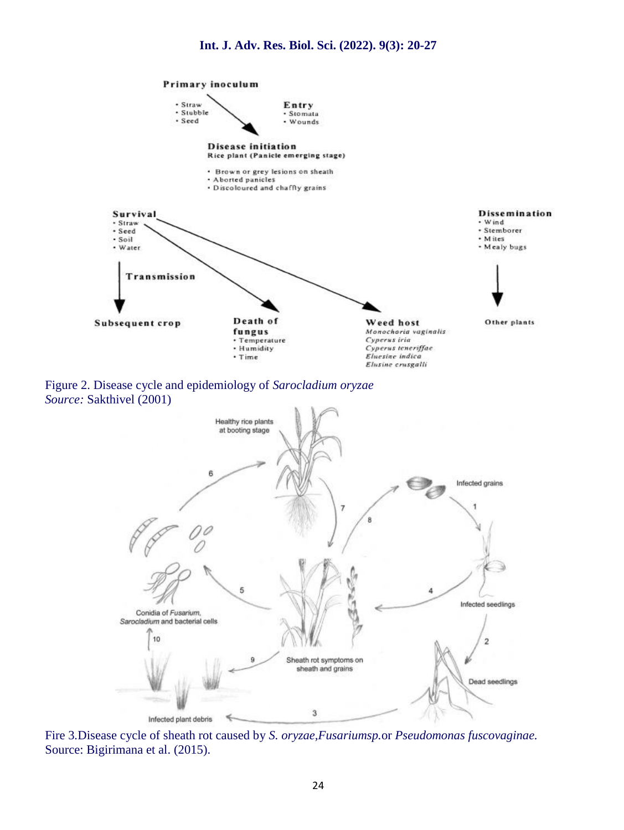





Fire 3*.*Disease cycle of sheath rot caused by *S. oryzae,Fusariumsp.*or *Pseudomonas fuscovaginae.* Source: Bigirimana et al. (2015).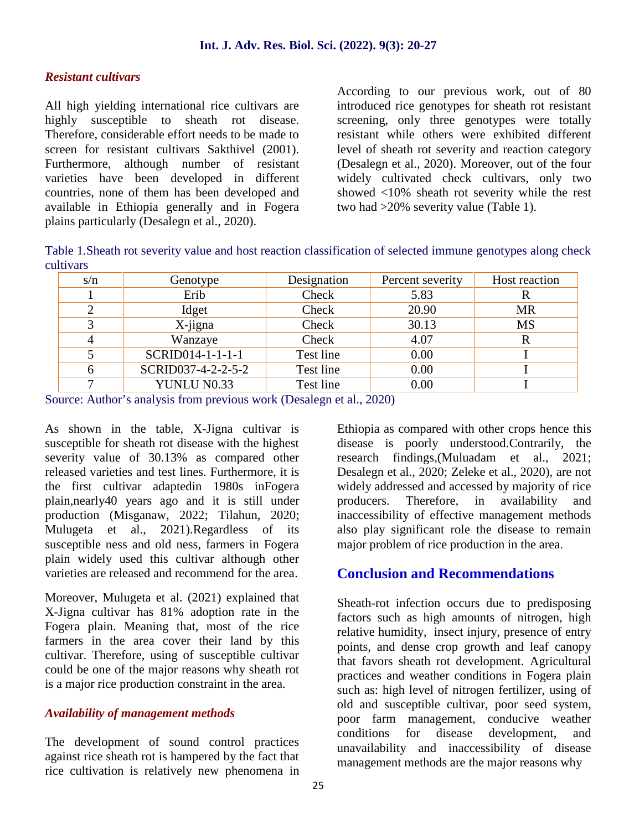#### *Resistant cultivars*

All high yielding international rice cultivars are highly susceptible to sheath rot disease. Therefore, considerable effort needs to be made to screen for resistant cultivars Sakthivel (2001). Furthermore, although number of resistant varieties have been developed in different countries, none of them has been developed and available in Ethiopia generally and in Fogera plains particularly (Desalegn et al., 2020).

According to our previous work, out of 80 introduced rice genotypes for sheath rot resistant screening, only three genotypes were totally resistant while others were exhibited different level of sheath rot severity and reaction category (Desalegn et al., 2020). Moreover, out of the four widely cultivated check cultivars, only two showed <10% sheath rot severity while the rest two had >20% severity value (Table 1).

Table 1.Sheath rot severity value and host reaction classification of selected immune genotypes along check cultivars

| s/n | Genotype           | Designation | Percent severity | Host reaction |
|-----|--------------------|-------------|------------------|---------------|
|     | Erib               | Check       | 5.83             | R             |
|     | Idget              | Check       | 20.90            | <b>MR</b>     |
|     | $X$ -jigna         | Check       | 30.13            | <b>MS</b>     |
| 4   | Wanzaye            | Check       | 4.07             |               |
|     | SCRID014-1-1-1-1   | Test line   | 0.00             |               |
| 6   | SCRID037-4-2-2-5-2 | Test line   | 0.00             |               |
| ⇁   | YUNLU N0.33        | Test line   | 0.00             |               |

Source: Author's analysis from previous work (Desalegn et al., 2020)

As shown in the table, X-Jigna cultivar is susceptible for sheath rot disease with the highest severity value of 30.13% as compared other released varieties and test lines. Furthermore, it is the first cultivar adaptedin 1980s inFogera plain,nearly40 years ago and it is still under production (Misganaw, 2022; Tilahun, 2020; Mulugeta et al., 2021).Regardless of its susceptible ness and old ness, farmers in Fogera plain widely used this cultivar although other varieties are released and recommend for the area.

Moreover, Mulugeta et al. (2021) explained that X-Jigna cultivar has 81% adoption rate in the Fogera plain. Meaning that, most of the rice farmers in the area cover their land by this cultivar. Therefore, using of susceptible cultivar could be one of the major reasons why sheath rot is a major rice production constraint in the area.

#### *Availability of management methods*

The development of sound control practices against rice sheath rot is hampered by the fact that rice cultivation is relatively new phenomena in Ethiopia as compared with other crops hence this disease is poorly understood.Contrarily, the research findings,(Muluadam et al., 2021; Desalegn et al., 2020; Zeleke et al., 2020), are not widely addressed and accessed by majority of rice producers. Therefore, in availability and inaccessibility of effective management methods also play significant role the disease to remain major problem of rice production in the area.

#### **Conclusion and Recommendations**

Sheath-rot infection occurs due to predisposing factors such as high amounts of nitrogen, high relative humidity, insect injury, presence of entry points, and dense crop growth and leaf canopy that favors sheath rot development. Agricultural practices and weather conditions in Fogera plain such as: high level of nitrogen fertilizer, using of old and susceptible cultivar, poor seed system, poor farm management, conducive weather conditions for disease development, and unavailability and inaccessibility of disease management methods are the major reasons why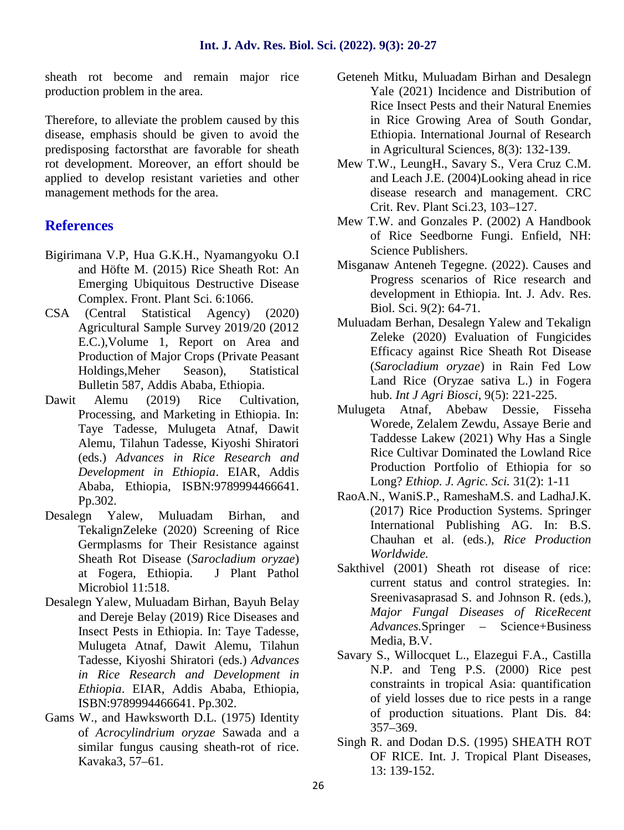sheath rot become and remain major rice production problem in the area.

Therefore, to alleviate the problem caused by this disease, emphasis should be given to avoid the predisposing factorsthat are favorable for sheath rot development. Moreover, an effort should be applied to develop resistant varieties and other management methods for the area.

## **References**

- Bigirimana V.P, Hua G.K.H., Nyamangyoku O.I and Höfte M. (2015) Rice Sheath Rot: An Emerging Ubiquitous Destructive Disease Complex. Front. Plant Sci. 6:1066.
- CSA (Central Statistical Agency) (2020) Agricultural Sample Survey 2019/20 (2012 E.C.),Volume 1, Report on Area and Production of Major Crops (Private Peasant Holdings,Meher Season), Statistical Bulletin 587, Addis Ababa, Ethiopia.
- Dawit Alemu (2019) Rice Cultivation, Processing, and Marketing in Ethiopia. In: Taye Tadesse, Mulugeta Atnaf, Dawit Alemu, Tilahun Tadesse, Kiyoshi Shiratori (eds.) *Advances in Rice Research and Development in Ethiopia*. EIAR, Addis Ababa, Ethiopia, ISBN:9789994466641. Pp.302.
- Desalegn Yalew, Muluadam Birhan, and TekalignZeleke (2020) Screening of Rice Germplasms for Their Resistance against Sheath Rot Disease (*Sarocladium oryzae*) at Fogera, Ethiopia. J Plant Pathol Microbiol 11:518.
- Desalegn Yalew, Muluadam Birhan, Bayuh Belay and Dereje Belay (2019) Rice Diseases and Insect Pests in Ethiopia. In: Taye Tadesse, Mulugeta Atnaf, Dawit Alemu, Tilahun Tadesse, Kiyoshi Shiratori (eds.) *Advances in Rice Research and Development in Ethiopia*. EIAR, Addis Ababa, Ethiopia, ISBN:9789994466641. Pp.302.
- Gams W., and Hawksworth D.L. (1975) Identity of *Acrocylindrium oryzae* Sawada and a similar fungus causing sheath-rot of rice. Kavaka3, 57–61.
- Geteneh Mitku, Muluadam Birhan and Desalegn Yale (2021) Incidence and Distribution of Rice Insect Pests and their Natural Enemies in Rice Growing Area of South Gondar, Ethiopia. International Journal of Research in Agricultural Sciences, 8(3): 132-139.
- Mew T.W., LeungH., Savary S., Vera Cruz C.M. and Leach J.E. (2004)Looking ahead in rice disease research and management. CRC Crit. Rev. Plant Sci.23, 103–127.
- Mew T.W. and Gonzales P. (2002) A Handbook of Rice Seedborne Fungi. Enfield, NH: Science Publishers.
- Misganaw Anteneh Tegegne. (2022). Causes and Progress scenarios of Rice research and development in Ethiopia. Int. J. Adv. Res. Biol. Sci. 9(2): 64-71.
- Muluadam Berhan, Desalegn Yalew and Tekalign Zeleke (2020) Evaluation of Fungicides Efficacy against Rice Sheath Rot Disease (*Sarocladium oryzae*) in Rain Fed Low Land Rice (Oryzae sativa L.) in Fogera hub. *Int J Agri Biosci*, 9(5): 221-225.
- Mulugeta Atnaf, Abebaw Dessie, Fisseha Worede, Zelalem Zewdu, Assaye Berie and Taddesse Lakew (2021) Why Has a Single Rice Cultivar Dominated the Lowland Rice Production Portfolio of Ethiopia for so Long? *Ethiop. J. Agric. Sci.* 31(2): 1-11
- RaoA.N., WaniS.P., RameshaM.S. and LadhaJ.K. (2017) Rice Production Systems. Springer International Publishing AG. In: B.S. Chauhan et al. (eds.), *Rice Production Worldwide.*
- Sakthivel (2001) Sheath rot disease of rice: current status and control strategies. In: Sreenivasaprasad S. and Johnson R. (eds.), *Major Fungal Diseases of RiceRecent Advances.*Springer – Science+Business Media, B.V.
- Savary S., Willocquet L., Elazegui F.A., Castilla N.P. and Teng P.S. (2000) Rice pest constraints in tropical Asia: quantification of yield losses due to rice pests in a range of production situations. Plant Dis. 84: 357–369.
- Singh R. and Dodan D.S. (1995) SHEATH ROT OF RICE. Int. J. Tropical Plant Diseases, 13: 139-152.